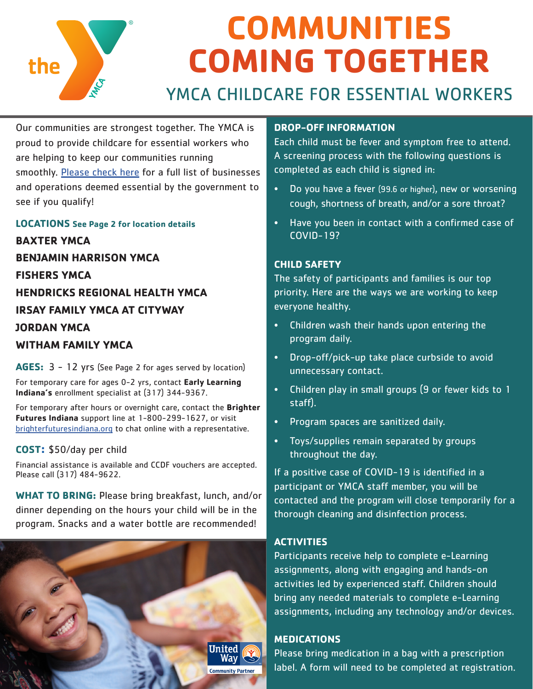

Our communities are strongest together. The YMCA is proud to provide childcare for essential workers who are helping to keep our communities running smoothly. [Please check here](https://coronavirus.in.gov/2496.htm) for a full list of businesses and operations deemed essential by the government to see if you qualify!

**LOCATIONS See Page 2 for location details BAXTER YMCA BENJAMIN HARRISON YMCA FISHERS YMCA HENDRICKS REGIONAL HEALTH YMCA IRSAY FAMILY YMCA AT CITYWAY JORDAN YMCA WITHAM FAMILY YMCA**

**AGES:** 3 - 12 yrs (See Page 2 for ages served by location)

For temporary care for ages 0-2 yrs, contact **Early Learning Indiana's** enrollment specialist at (317) 344-9367.

For temporary after hours or overnight care, contact the **Brighter Futures Indiana** support line at 1-800-299-1627, or visit [brighterfuturesindiana.org](http://brighterfuturesindiana.org) to chat online with a representative.

## **COST:** \$50/day per child

Financial assistance is available and CCDF vouchers are accepted. Please call (317) 484-9622.

**WHAT TO BRING:** Please bring breakfast, lunch, and/or dinner depending on the hours your child will be in the program. Snacks and a water bottle are recommended!



#### **DROP-OFF INFORMATION**

Each child must be fever and symptom free to attend. A screening process with the following questions is completed as each child is signed in:

- Do you have a fever (99.6 or higher), new or worsening cough, shortness of breath, and/or a sore throat?
- Have you been in contact with a confirmed case of COVID-19?

## **CHILD SAFETY**

The safety of participants and families is our top priority. Here are the ways we are working to keep everyone healthy.

- Children wash their hands upon entering the program daily.
- Drop-off/pick-up take place curbside to avoid unnecessary contact.
- Children play in small groups (9 or fewer kids to 1 staff).
- Program spaces are sanitized daily.
- Toys/supplies remain separated by groups throughout the day.

If a positive case of COVID-19 is identified in a participant or YMCA staff member, you will be contacted and the program will close temporarily for a thorough cleaning and disinfection process.

### **ACTIVITIES**

Participants receive help to complete e-Learning assignments, along with engaging and hands-on activities led by experienced staff. Children should bring any needed materials to complete e-Learning assignments, including any technology and/or devices.

## **MEDICATIONS**

Please bring medication in a bag with a prescription label. A form will need to be completed at registration.